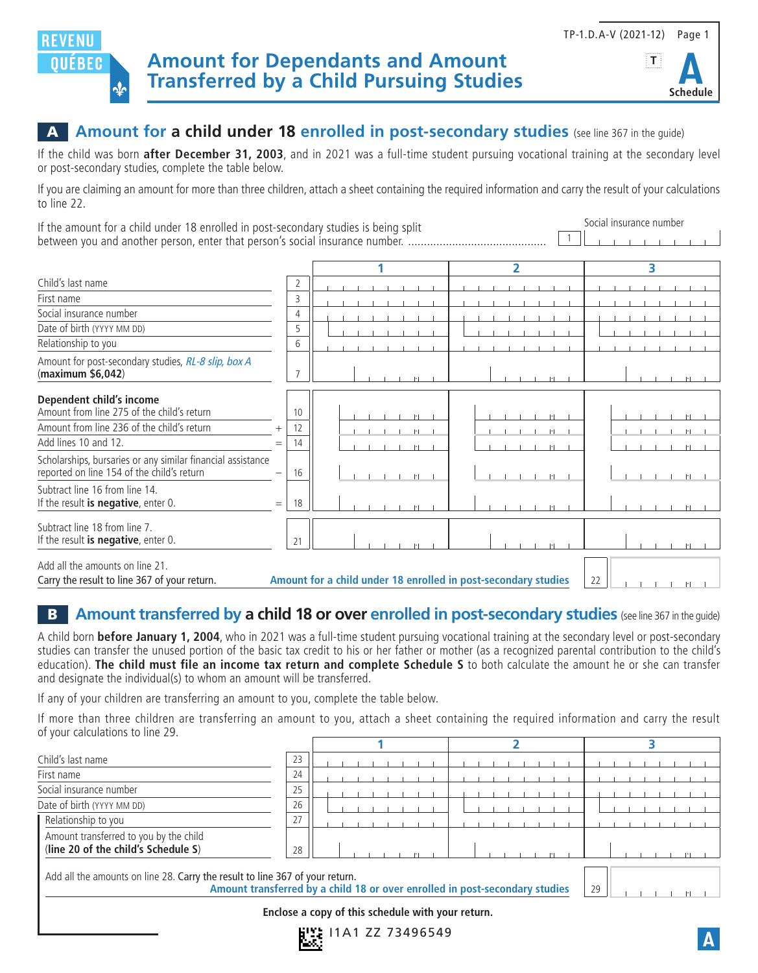

## A **Amount for a child under 18 enrolled in post-secondary studies** (see line 367 in the guide)

If the child was born **after December 31, 2003**, and in 2021 was a full-time student pursuing vocational training at the secondary level or post-secondary studies, complete the table below.

If you are claiming an amount for more than three children, attach a sheet containing the required information and carry the result of your calculations to line 22.

If the amount for a child under 18 enrolled in post-secondary studies is being split between you and another person, enter that person's social insurance number. ............................................ 1 Social insurance number

|                                                                                                           |                                                                |                |  |  |  |                          |  |  |  | 2 |                               |  |    |  | 3 |  |  |
|-----------------------------------------------------------------------------------------------------------|----------------------------------------------------------------|----------------|--|--|--|--------------------------|--|--|--|---|-------------------------------|--|----|--|---|--|--|
| Child's last name                                                                                         |                                                                | 2              |  |  |  |                          |  |  |  |   |                               |  |    |  |   |  |  |
| First name                                                                                                |                                                                | 3              |  |  |  |                          |  |  |  |   |                               |  |    |  |   |  |  |
| Social insurance number                                                                                   |                                                                | $\overline{4}$ |  |  |  |                          |  |  |  |   |                               |  |    |  |   |  |  |
| Date of birth (YYYY MM DD)                                                                                |                                                                | 5              |  |  |  |                          |  |  |  |   |                               |  |    |  |   |  |  |
| Relationship to you                                                                                       |                                                                | 6              |  |  |  |                          |  |  |  |   |                               |  |    |  |   |  |  |
| Amount for post-secondary studies, RL-8 slip, box A<br>(maximum \$6,042)                                  |                                                                |                |  |  |  |                          |  |  |  |   |                               |  |    |  |   |  |  |
| Dependent child's income<br>Amount from line 275 of the child's return                                    |                                                                | 10             |  |  |  | $\left\  \cdot \right\ $ |  |  |  |   | $\left\vert \cdot\right\vert$ |  |    |  |   |  |  |
| Amount from line 236 of the child's return                                                                | $^+$                                                           | 12             |  |  |  | H                        |  |  |  |   | $   \cdot   $                 |  |    |  |   |  |  |
| Add lines 10 and 12.                                                                                      | $=$                                                            | 14             |  |  |  |                          |  |  |  |   | $\left  \cdot \right $        |  |    |  |   |  |  |
| Scholarships, bursaries or any similar financial assistance<br>reported on line 154 of the child's return |                                                                | 16             |  |  |  |                          |  |  |  |   | $   \cdot   $                 |  |    |  |   |  |  |
| Subtract line 16 from line 14.<br>If the result is negative, enter $0$ .                                  | $=$                                                            | 18             |  |  |  |                          |  |  |  |   |                               |  |    |  |   |  |  |
| Subtract line 18 from line 7.<br>If the result is negative, enter $0$ .                                   |                                                                | 21             |  |  |  |                          |  |  |  |   |                               |  |    |  |   |  |  |
| Add all the amounts on line 21.<br>Carry the result to line 367 of your return.                           | Amount for a child under 18 enrolled in post-secondary studies |                |  |  |  |                          |  |  |  |   |                               |  | 22 |  |   |  |  |

## **B** Amount transferred by a child 18 or over enrolled in post-secondary studies (see line 367 in the quide)

A child born **before January 1, 2004**, who in 2021 was a full-time student pursuing vocational training at the secondary level or post-secondary studies can transfer the unused portion of the basic tax credit to his or her father or mother (as a recognized parental contribution to the child's education). **The child must file an income tax return and complete Schedule S** to both calculate the amount he or she can transfer and designate the individual(s) to whom an amount will be transferred.

If any of your children are transferring an amount to you, complete the table below.

If more than three children are transferring an amount to you, attach a sheet containing the required information and carry the result of your calculations to line 29.

| Child's last name                                                                                                                                           | 23                                                |  |  |  |  |  |  |  |  |  |  |  |    |  |  |  |  |  |
|-------------------------------------------------------------------------------------------------------------------------------------------------------------|---------------------------------------------------|--|--|--|--|--|--|--|--|--|--|--|----|--|--|--|--|--|
| First name                                                                                                                                                  | 24                                                |  |  |  |  |  |  |  |  |  |  |  |    |  |  |  |  |  |
| Social insurance number                                                                                                                                     | 25                                                |  |  |  |  |  |  |  |  |  |  |  |    |  |  |  |  |  |
| Date of birth (YYYY MM DD)                                                                                                                                  | 26                                                |  |  |  |  |  |  |  |  |  |  |  |    |  |  |  |  |  |
| Relationship to you                                                                                                                                         | 27                                                |  |  |  |  |  |  |  |  |  |  |  |    |  |  |  |  |  |
| Amount transferred to you by the child<br>(line 20 of the child's Schedule S)                                                                               | 28                                                |  |  |  |  |  |  |  |  |  |  |  |    |  |  |  |  |  |
| Add all the amounts on line 28. Carry the result to line 367 of your return.<br>Amount transferred by a child 18 or over enrolled in post-secondary studies |                                                   |  |  |  |  |  |  |  |  |  |  |  | 29 |  |  |  |  |  |
|                                                                                                                                                             | Enclose a copy of this schedule with your return. |  |  |  |  |  |  |  |  |  |  |  |    |  |  |  |  |  |